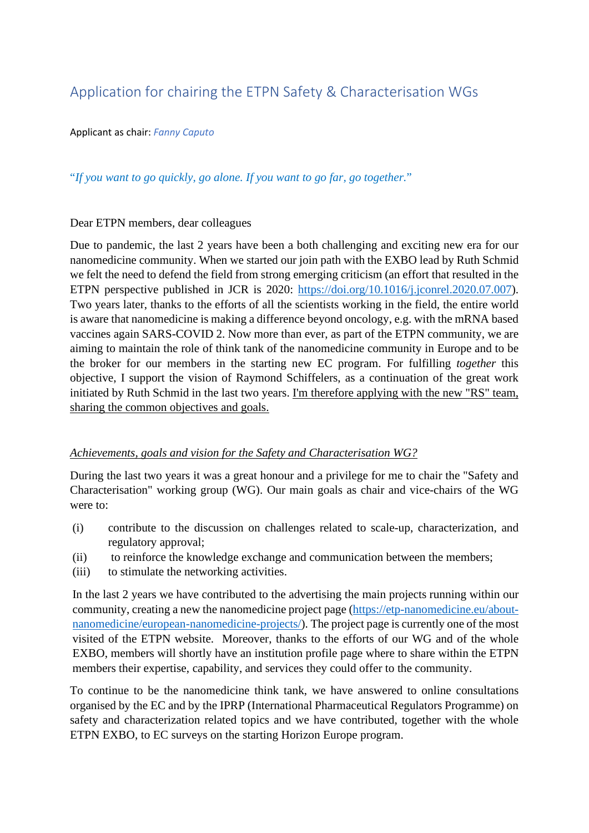## Application for chairing the ETPN Safety & Characterisation WGs

Applicant as chair: *Fanny Caputo*

## "*If you want to go quickly, go alone. If you want to go far, go together.*"

## Dear ETPN members, dear colleagues

Due to pandemic, the last 2 years have been a both challenging and exciting new era for our nanomedicine community. When we started our join path with the EXBO lead by Ruth Schmid we felt the need to defend the field from strong emerging criticism (an effort that resulted in the ETPN perspective published in JCR is 2020: [https://doi.org/10.1016/j.jconrel.2020.07.007\)](https://doi.org/10.1016/j.jconrel.2020.07.007). Two years later, thanks to the efforts of all the scientists working in the field, the entire world is aware that nanomedicine is making a difference beyond oncology, e.g. with the mRNA based vaccines again SARS-COVID 2. Now more than ever, as part of the ETPN community, we are aiming to maintain the role of think tank of the nanomedicine community in Europe and to be the broker for our members in the starting new EC program. For fulfilling *together* this objective, I support the vision of Raymond Schiffelers, as a continuation of the great work initiated by Ruth Schmid in the last two years. I'm therefore applying with the new "RS" team, sharing the common objectives and goals.

## *Achievements, goals and vision for the Safety and Characterisation WG?*

During the last two years it was a great honour and a privilege for me to chair the "Safety and Characterisation" working group (WG). Our main goals as chair and vice-chairs of the WG were to:

- (i) contribute to the discussion on challenges related to scale-up, characterization, and regulatory approval;
- (ii) to reinforce the knowledge exchange and communication between the members;
- (iii) to stimulate the networking activities.

In the last 2 years we have contributed to the advertising the main projects running within our community, creating a new the nanomedicine project page [\(https://etp-nanomedicine.eu/about](https://etp-nanomedicine.eu/about-nanomedicine/european-nanomedicine-projects/)[nanomedicine/european-nanomedicine-projects/\)](https://etp-nanomedicine.eu/about-nanomedicine/european-nanomedicine-projects/). The project page is currently one of the most visited of the ETPN website. Moreover, thanks to the efforts of our WG and of the whole EXBO, members will shortly have an institution profile page where to share within the ETPN members their expertise, capability, and services they could offer to the community.

To continue to be the nanomedicine think tank, we have answered to online consultations organised by the EC and by the IPRP (International Pharmaceutical Regulators Programme) on safety and characterization related topics and we have contributed, together with the whole ETPN EXBO, to EC surveys on the starting Horizon Europe program.